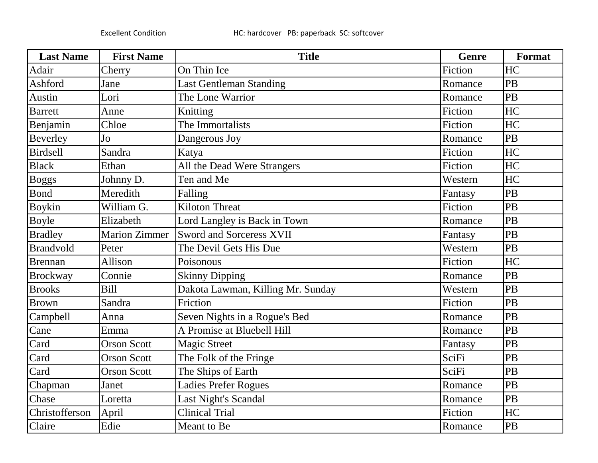| <b>Last Name</b> | <b>First Name</b>    | <b>Title</b>                      | <b>Genre</b> | Format |
|------------------|----------------------|-----------------------------------|--------------|--------|
| Adair            | Cherry               | On Thin Ice                       | Fiction      | HC     |
| Ashford          | Jane                 | <b>Last Gentleman Standing</b>    | Romance      | PB     |
| Austin           | Lori                 | The Lone Warrior                  | Romance      | PB     |
| <b>Barrett</b>   | Anne                 | Knitting                          | Fiction      | HC     |
| Benjamin         | Chloe                | The Immortalists                  | Fiction      | HC     |
| Beverley         | Jo                   | Dangerous Joy                     | Romance      | PB     |
| Birdsell         | Sandra               | Katya                             | Fiction      | HC     |
| <b>Black</b>     | Ethan                | All the Dead Were Strangers       | Fiction      | HC     |
| Boggs            | Johnny D.            | Ten and Me                        | Western      | HC     |
| <b>Bond</b>      | Meredith             | Falling                           | Fantasy      | PB     |
| <b>Boykin</b>    | William G.           | <b>Kiloton Threat</b>             | Fiction      | PB     |
| <b>Boyle</b>     | Elizabeth            | Lord Langley is Back in Town      | Romance      | PB     |
| <b>Bradley</b>   | <b>Marion Zimmer</b> | <b>Sword and Sorceress XVII</b>   | Fantasy      | PB     |
| <b>Brandvold</b> | Peter                | The Devil Gets His Due            | Western      | PB     |
| <b>Brennan</b>   | Allison              | Poisonous                         | Fiction      | HC     |
| <b>Brockway</b>  | Connie               | <b>Skinny Dipping</b>             | Romance      | PB     |
| <b>Brooks</b>    | <b>Bill</b>          | Dakota Lawman, Killing Mr. Sunday | Western      | PB     |
| <b>Brown</b>     | Sandra               | Friction                          | Fiction      | PB     |
| Campbell         | Anna                 | Seven Nights in a Rogue's Bed     | Romance      | PB     |
| Cane             | Emma                 | A Promise at Bluebell Hill        | Romance      | PB     |
| Card             | <b>Orson Scott</b>   | <b>Magic Street</b>               | Fantasy      | PB     |
| Card             | <b>Orson Scott</b>   | The Folk of the Fringe            | SciFi        | PB     |
| Card             | <b>Orson Scott</b>   | The Ships of Earth                | SciFi        | PB     |
| Chapman          | Janet                | <b>Ladies Prefer Rogues</b>       | Romance      | PB     |
| Chase            | Loretta              | Last Night's Scandal              | Romance      | PB     |
| Christofferson   | April                | <b>Clinical Trial</b>             | Fiction      | HC     |
| Claire           | Edie                 | Meant to Be                       | Romance      | PB     |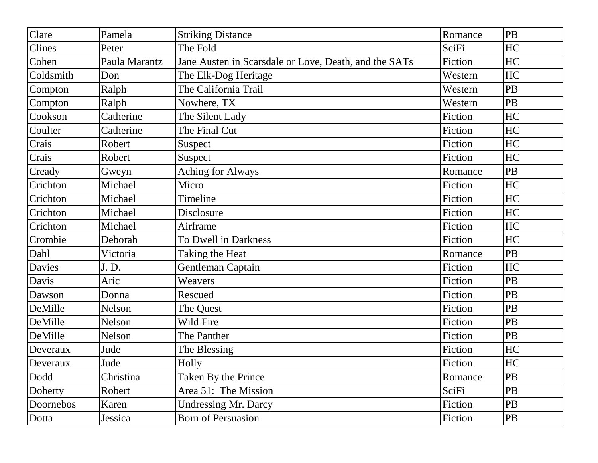| Clare     | Pamela        | <b>Striking Distance</b>                              | Romance | <b>PB</b> |
|-----------|---------------|-------------------------------------------------------|---------|-----------|
| Clines    | Peter         | The Fold                                              | SciFi   | HC        |
| Cohen     | Paula Marantz | Jane Austen in Scarsdale or Love, Death, and the SATs | Fiction | HC        |
| Coldsmith | Don           | The Elk-Dog Heritage                                  | Western | HC        |
| Compton   | Ralph         | The California Trail                                  | Western | PB        |
| Compton   | Ralph         | Nowhere, TX                                           | Western | PB        |
| Cookson   | Catherine     | The Silent Lady                                       | Fiction | HC        |
| Coulter   | Catherine     | The Final Cut                                         | Fiction | HC        |
| Crais     | Robert        | Suspect                                               | Fiction | HC        |
| Crais     | Robert        | Suspect                                               | Fiction | HC        |
| Cready    | Gweyn         | <b>Aching for Always</b>                              | Romance | PB        |
| Crichton  | Michael       | Micro                                                 | Fiction | HC        |
| Crichton  | Michael       | Timeline                                              | Fiction | HC        |
| Crichton  | Michael       | Disclosure                                            | Fiction | HC        |
| Crichton  | Michael       | Airframe                                              | Fiction | HC        |
| Crombie   | Deborah       | To Dwell in Darkness                                  | Fiction | HC        |
| Dahl      | Victoria      | Taking the Heat                                       | Romance | PB        |
| Davies    | J. D.         | Gentleman Captain                                     | Fiction | HC        |
| Davis     | Aric          | Weavers                                               | Fiction | PB        |
| Dawson    | Donna         | Rescued                                               | Fiction | PB        |
| DeMille   | Nelson        | The Quest                                             | Fiction | PB        |
| DeMille   | Nelson        | Wild Fire                                             | Fiction | PB        |
| DeMille   | Nelson        | The Panther                                           | Fiction | PB        |
| Deveraux  | Jude          | The Blessing                                          | Fiction | HC        |
| Deveraux  | Jude          | Holly                                                 | Fiction | HC        |
| Dodd      | Christina     | <b>Taken By the Prince</b>                            | Romance | PB        |
| Doherty   | Robert        | Area 51: The Mission                                  | SciFi   | <b>PB</b> |
| Doornebos | Karen         | <b>Undressing Mr. Darcy</b>                           | Fiction | <b>PB</b> |
| Dotta     | Jessica       | <b>Born of Persuasion</b>                             | Fiction | PB        |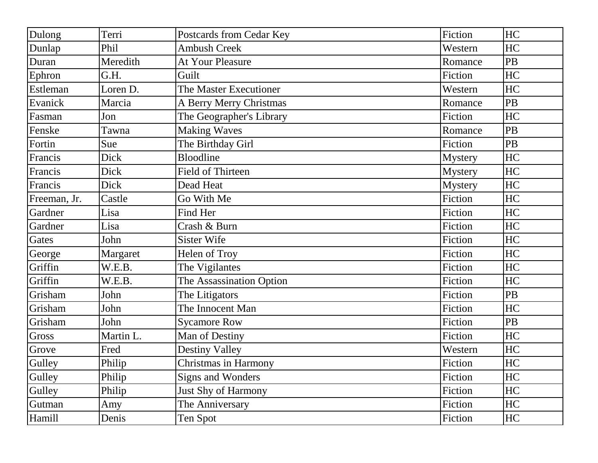| Dulong       | Terri     | Postcards from Cedar Key | Fiction        | HC |
|--------------|-----------|--------------------------|----------------|----|
| Dunlap       | Phil      | <b>Ambush Creek</b>      | Western        | HC |
| Duran        | Meredith  | At Your Pleasure         | Romance        | PB |
| Ephron       | G.H.      | Guilt                    | Fiction        | HC |
| Estleman     | Loren D.  | The Master Executioner   | Western        | HC |
| Evanick      | Marcia    | A Berry Merry Christmas  | Romance        | PB |
| Fasman       | Jon       | The Geographer's Library | Fiction        | HC |
| Fenske       | Tawna     | <b>Making Waves</b>      | Romance        | PB |
| Fortin       | Sue       | The Birthday Girl        | Fiction        | PB |
| Francis      | Dick      | Bloodline                | <b>Mystery</b> | HC |
| Francis      | Dick      | <b>Field of Thirteen</b> | <b>Mystery</b> | HC |
| Francis      | Dick      | Dead Heat                | <b>Mystery</b> | HC |
| Freeman, Jr. | Castle    | Go With Me               | Fiction        | HC |
| Gardner      | Lisa      | Find Her                 | Fiction        | HC |
| Gardner      | Lisa      | Crash & Burn             | Fiction        | HC |
| Gates        | John      | <b>Sister Wife</b>       | Fiction        | HC |
| George       | Margaret  | Helen of Troy            | Fiction        | HC |
| Griffin      | W.E.B.    | The Vigilantes           | Fiction        | HC |
| Griffin      | W.E.B.    | The Assassination Option | Fiction        | HC |
| Grisham      | John      | The Litigators           | Fiction        | PB |
| Grisham      | John      | The Innocent Man         | Fiction        | HC |
| Grisham      | John      | <b>Sycamore Row</b>      | Fiction        | PB |
| Gross        | Martin L. | Man of Destiny           | Fiction        | HC |
| Grove        | Fred      | <b>Destiny Valley</b>    | Western        | HC |
| Gulley       | Philip    | Christmas in Harmony     | Fiction        | HC |
| Gulley       | Philip    | Signs and Wonders        | Fiction        | HC |
| Gulley       | Philip    | Just Shy of Harmony      | Fiction        | HC |
| Gutman       | Amy       | The Anniversary          | Fiction        | HC |
| Hamill       | Denis     | Ten Spot                 | Fiction        | HC |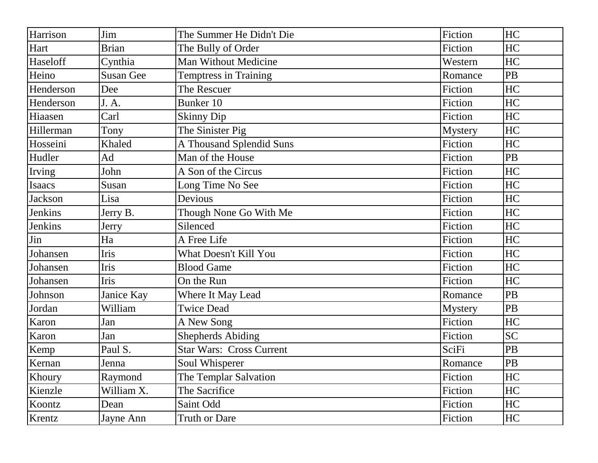| Harrison       | Jim              | The Summer He Didn't Die        | Fiction        | HC        |
|----------------|------------------|---------------------------------|----------------|-----------|
| Hart           | <b>Brian</b>     | The Bully of Order              | Fiction        | HC        |
| Haseloff       | Cynthia          | Man Without Medicine            | Western        | HC        |
| Heino          | <b>Susan Gee</b> | <b>Temptress in Training</b>    | Romance        | PB        |
| Henderson      | Dee              | The Rescuer                     | Fiction        | HC        |
| Henderson      | J. A.            | Bunker 10                       | Fiction        | HC        |
| Hiaasen        | Carl             | <b>Skinny Dip</b>               | Fiction        | HC        |
| Hillerman      | Tony             | The Sinister Pig                | <b>Mystery</b> | HC        |
| Hosseini       | Khaled           | A Thousand Splendid Suns        | Fiction        | HC        |
| Hudler         | Ad               | Man of the House                | Fiction        | PB        |
| Irving         | John             | A Son of the Circus             | Fiction        | HC        |
| Isaacs         | Susan            | Long Time No See                | Fiction        | HC        |
| <b>Jackson</b> | Lisa             | Devious                         | Fiction        | HC        |
| <b>Jenkins</b> | Jerry B.         | Though None Go With Me          | Fiction        | HC        |
| Jenkins        | Jerry            | Silenced                        | Fiction        | HC        |
| Jin            | Ha               | A Free Life                     | Fiction        | HC        |
| Johansen       | Iris             | What Doesn't Kill You           | Fiction        | HC        |
| Johansen       | Iris             | <b>Blood Game</b>               | Fiction        | HC        |
| Johansen       | Iris             | On the Run                      | Fiction        | HC        |
| Johnson        | Janice Kay       | Where It May Lead               | Romance        | PB        |
| Jordan         | William          | <b>Twice Dead</b>               | <b>Mystery</b> | PB        |
| Karon          | Jan              | A New Song                      | Fiction        | HC        |
| Karon          | Jan              | <b>Shepherds Abiding</b>        | Fiction        | <b>SC</b> |
| Kemp           | Paul S.          | <b>Star Wars: Cross Current</b> | SciFi          | PB        |
| Kernan         | Jenna            | Soul Whisperer                  | Romance        | PB        |
| Khoury         | Raymond          | The Templar Salvation           | Fiction        | HC        |
| Kienzle        | William X.       | The Sacrifice                   | Fiction        | HC        |
| Koontz         | Dean             | Saint Odd                       | Fiction        | HC        |
| Krentz         | Jayne Ann        | Truth or Dare                   | Fiction        | HC        |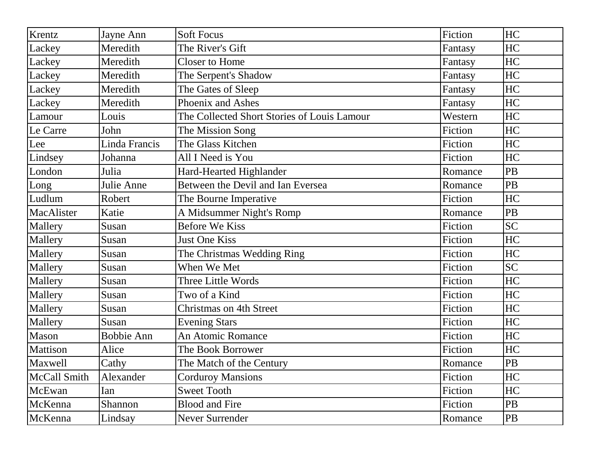| Krentz       | Jayne Ann         | <b>Soft Focus</b>                           | Fiction | HC        |
|--------------|-------------------|---------------------------------------------|---------|-----------|
| Lackey       | Meredith          | The River's Gift                            | Fantasy | HC        |
| Lackey       | Meredith          | <b>Closer to Home</b>                       | Fantasy | HC        |
| Lackey       | Meredith          | The Serpent's Shadow                        | Fantasy | HC        |
| Lackey       | Meredith          | The Gates of Sleep                          | Fantasy | HC        |
| Lackey       | Meredith          | Phoenix and Ashes                           | Fantasy | HC        |
| Lamour       | Louis             | The Collected Short Stories of Louis Lamour | Western | HC        |
| Le Carre     | John              | The Mission Song                            | Fiction | HC        |
| Lee          | Linda Francis     | The Glass Kitchen                           | Fiction | HC        |
| Lindsey      | Johanna           | All I Need is You                           | Fiction | HC        |
| London       | Julia             | Hard-Hearted Highlander                     | Romance | <b>PB</b> |
| Long         | Julie Anne        | Between the Devil and Ian Eversea           | Romance | <b>PB</b> |
| Ludlum       | Robert            | The Bourne Imperative                       | Fiction | HC        |
| MacAlister   | Katie             | A Midsummer Night's Romp                    | Romance | <b>PB</b> |
| Mallery      | Susan             | <b>Before We Kiss</b>                       | Fiction | <b>SC</b> |
| Mallery      | Susan             | Just One Kiss                               | Fiction | HC        |
| Mallery      | Susan             | The Christmas Wedding Ring                  | Fiction | HC        |
| Mallery      | Susan             | When We Met                                 | Fiction | <b>SC</b> |
| Mallery      | Susan             | Three Little Words                          | Fiction | HC        |
| Mallery      | Susan             | Two of a Kind                               | Fiction | HC        |
| Mallery      | Susan             | Christmas on 4th Street                     | Fiction | HC        |
| Mallery      | Susan             | <b>Evening Stars</b>                        | Fiction | HC        |
| Mason        | <b>Bobbie Ann</b> | An Atomic Romance                           | Fiction | HC        |
| Mattison     | Alice             | The Book Borrower                           | Fiction | HC        |
| Maxwell      | Cathy             | The Match of the Century                    | Romance | PB        |
| McCall Smith | Alexander         | <b>Corduroy Mansions</b>                    | Fiction | HC        |
| McEwan       | Ian               | <b>Sweet Tooth</b>                          | Fiction | HC        |
| McKenna      | Shannon           | <b>Blood and Fire</b>                       | Fiction | <b>PB</b> |
| McKenna      | Lindsay           | Never Surrender                             | Romance | PB        |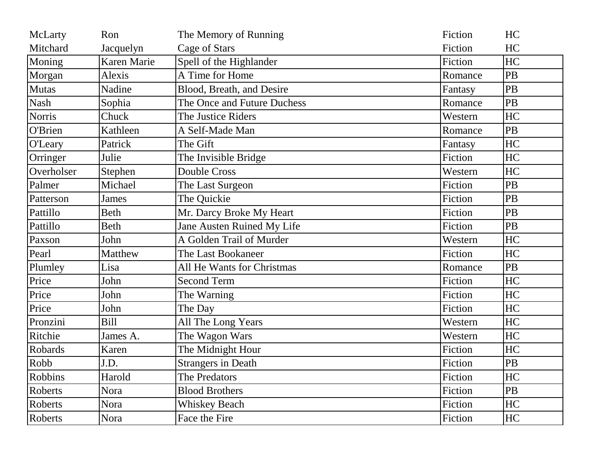| McLarty        | Ron          | The Memory of Running       | Fiction | HC        |
|----------------|--------------|-----------------------------|---------|-----------|
| Mitchard       | Jacquelyn    | Cage of Stars               | Fiction | HC        |
| Moning         | Karen Marie  | Spell of the Highlander     | Fiction | HC        |
| Morgan         | Alexis       | A Time for Home             | Romance | PB        |
| Mutas          | Nadine       | Blood, Breath, and Desire   | Fantasy | PB        |
| Nash           | Sophia       | The Once and Future Duchess | Romance | PB        |
| <b>Norris</b>  | Chuck        | The Justice Riders          | Western | HC        |
| O'Brien        | Kathleen     | A Self-Made Man             | Romance | <b>PB</b> |
| <b>O'Leary</b> | Patrick      | The Gift                    | Fantasy | HC        |
| Orringer       | Julie        | The Invisible Bridge        | Fiction | HC        |
| Overholser     | Stephen      | <b>Double Cross</b>         | Western | HC        |
| Palmer         | Michael      | The Last Surgeon            | Fiction | <b>PB</b> |
| Patterson      | <b>James</b> | The Quickie                 | Fiction | PB        |
| Pattillo       | <b>Beth</b>  | Mr. Darcy Broke My Heart    | Fiction | PB        |
| Pattillo       | <b>Beth</b>  | Jane Austen Ruined My Life  | Fiction | PB        |
| Paxson         | John         | A Golden Trail of Murder    | Western | HC        |
| Pearl          | Matthew      | The Last Bookaneer          | Fiction | <b>HC</b> |
| Plumley        | Lisa         | All He Wants for Christmas  | Romance | PB        |
| Price          | John         | <b>Second Term</b>          | Fiction | HC        |
| Price          | John         | The Warning                 | Fiction | HC        |
| Price          | John         | The Day                     | Fiction | HC        |
| Pronzini       | <b>Bill</b>  | All The Long Years          | Western | HC        |
| Ritchie        | James A.     | The Wagon Wars              | Western | HC        |
| Robards        | Karen        | The Midnight Hour           | Fiction | HC        |
| Robb           | J.D.         | <b>Strangers in Death</b>   | Fiction | PB        |
| Robbins        | Harold       | The Predators               | Fiction | HC        |
| Roberts        | Nora         | <b>Blood Brothers</b>       | Fiction | PB        |
| Roberts        | Nora         | <b>Whiskey Beach</b>        | Fiction | HC        |
| Roberts        | Nora         | Face the Fire               | Fiction | HC        |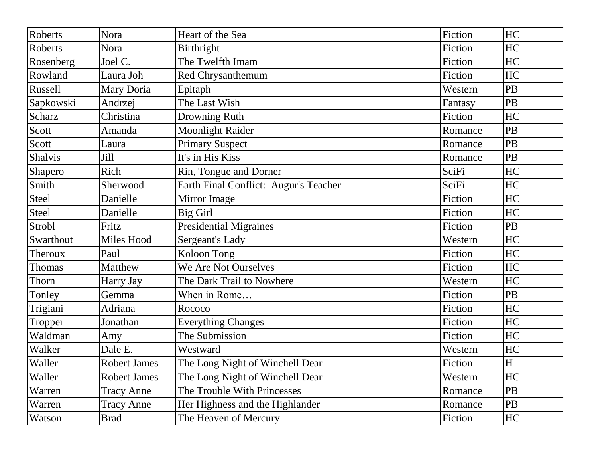| Roberts       | Nora                | Heart of the Sea                      | Fiction | HC        |
|---------------|---------------------|---------------------------------------|---------|-----------|
| Roberts       | Nora                | Birthright                            | Fiction | HC        |
| Rosenberg     | Joel C.             | The Twelfth Imam                      | Fiction | HC        |
| Rowland       | Laura Joh           | Red Chrysanthemum                     | Fiction | HC        |
| Russell       | Mary Doria          | Epitaph                               | Western | PB        |
| Sapkowski     | Andrzej             | The Last Wish                         | Fantasy | PB        |
| Scharz        | Christina           | Drowning Ruth                         | Fiction | HC        |
| Scott         | Amanda              | <b>Moonlight Raider</b>               | Romance | <b>PB</b> |
| Scott         | Laura               | <b>Primary Suspect</b>                | Romance | PB        |
| Shalvis       | Jill                | It's in His Kiss                      | Romance | <b>PB</b> |
| Shapero       | Rich                | Rin, Tongue and Dorner                | SciFi   | HC        |
| Smith         | Sherwood            | Earth Final Conflict: Augur's Teacher | SciFi   | HC        |
| <b>Steel</b>  | Danielle            | Mirror Image                          | Fiction | HC        |
| <b>Steel</b>  | Danielle            | <b>Big Girl</b>                       | Fiction | HC        |
| Strobl        | Fritz               | <b>Presidential Migraines</b>         | Fiction | PB        |
| Swarthout     | Miles Hood          | Sergeant's Lady                       | Western | HC        |
| Theroux       | Paul                | Koloon Tong                           | Fiction | HC        |
| <b>Thomas</b> | Matthew             | We Are Not Ourselves                  | Fiction | HC        |
| Thorn         | Harry Jay           | The Dark Trail to Nowhere             | Western | HC        |
| Tonley        | Gemma               | When in Rome                          | Fiction | <b>PB</b> |
| Trigiani      | Adriana             | Rococo                                | Fiction | HC        |
| Tropper       | Jonathan            | <b>Everything Changes</b>             | Fiction | HC        |
| Waldman       | Amy                 | The Submission                        | Fiction | HC        |
| Walker        | Dale E.             | Westward                              | Western | HC        |
| Waller        | <b>Robert James</b> | The Long Night of Winchell Dear       | Fiction | H         |
| Waller        | <b>Robert James</b> | The Long Night of Winchell Dear       | Western | HC        |
| Warren        | <b>Tracy Anne</b>   | The Trouble With Princesses           | Romance | PB        |
| Warren        | <b>Tracy Anne</b>   | Her Highness and the Highlander       | Romance | PB        |
| Watson        | Brad                | The Heaven of Mercury                 | Fiction | HC        |